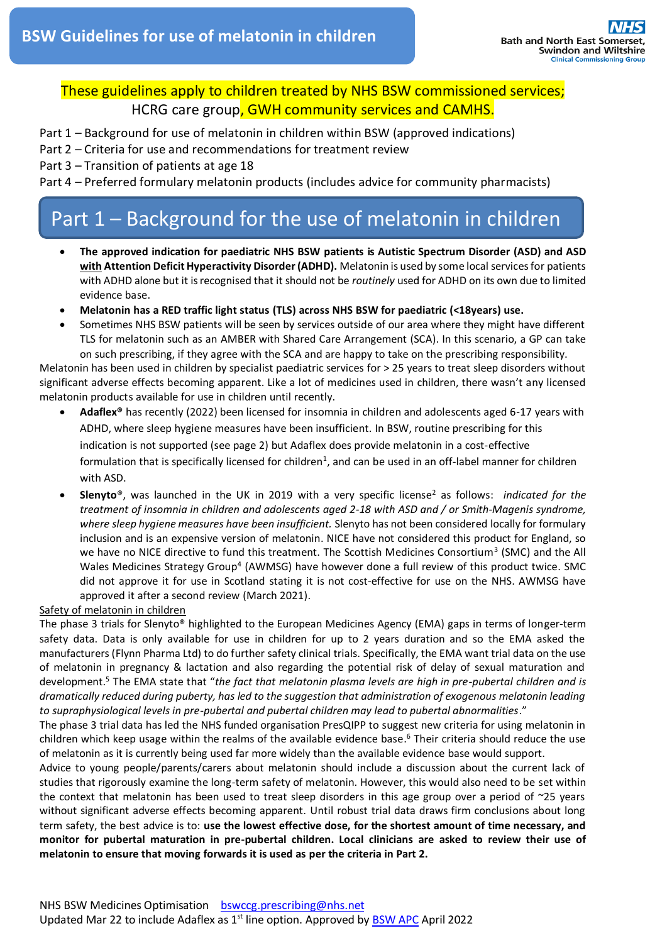### These guidelines apply to children treated by NHS BSW commissioned services; HCRG care group, GWH community services and CAMHS.

Part 1 – Background for use of melatonin in children within BSW (approved indications)

Part 2 – Criteria for use and recommendations for treatment review

Part 3 – Transition of patients at age 18

Part 4 – Preferred formulary melatonin products (includes advice for community pharmacists)

# Part 1 – Background for the use of melatonin in children

- **The approved indication for paediatric NHS BSW patients is Autistic Spectrum Disorder (ASD) and ASD with Attention Deficit Hyperactivity Disorder (ADHD).** Melatonin is used by some local services for patients with ADHD alone but it is recognised that it should not be *routinely* used for ADHD on its own due to limited evidence base.
- **Melatonin has a RED traffic light status (TLS) across NHS BSW for paediatric (<18years) use.**
- Sometimes NHS BSW patients will be seen by services outside of our area where they might have different TLS for melatonin such as an AMBER with Shared Care Arrangement (SCA). In this scenario, a GP can take on such prescribing, if they agree with the SCA and are happy to take on the prescribing responsibility.

Melatonin has been used in children by specialist paediatric services for > 25 years to treat sleep disorders without significant adverse effects becoming apparent. Like a lot of medicines used in children, there wasn't any licensed melatonin products available for use in children until recently.

- **Adaflex®** has recently (2022) been licensed for insomnia in children and adolescents aged 6-17 years with ADHD, where sleep hygiene measures have been insufficient. In BSW, routine prescribing for this indication is not supported (see page 2) but Adaflex does provide melatonin in a cost-effective formulation that is specifically licensed for children<sup>1</sup>, and can be used in an off-label manner for children with ASD.
- **Slenyto**®, was launched in the UK in 2019 with a very specific license<sup>2</sup> as follows: *indicated for the treatment of insomnia in children and adolescents aged 2-18 with ASD and / or Smith-Magenis syndrome, where sleep hygiene measures have been insufficient.* Slenyto has not been considered locally for formulary inclusion and is an expensive version of melatonin. NICE have not considered this product for England, so we have no NICE directive to fund this treatment. The Scottish Medicines Consortium<sup>3</sup> (SMC) and the All Wales Medicines Strategy Group<sup>4</sup> (AWMSG) have however done a full review of this product twice. SMC did not approve it for use in Scotland stating it is not cost-effective for use on the NHS. AWMSG have approved it after a second review (March 2021).

#### Safety of melatonin in children

The phase 3 trials for Slenyto® highlighted to the European Medicines Agency (EMA) gaps in terms of longer-term safety data. Data is only available for use in children for up to 2 years duration and so the EMA asked the manufacturers (Flynn Pharma Ltd) to do further safety clinical trials. Specifically, the EMA want trial data on the use of melatonin in pregnancy & lactation and also regarding the potential risk of delay of sexual maturation and development. <sup>5</sup> The EMA state that "*the fact that melatonin plasma levels are high in pre-pubertal children and is dramatically reduced during puberty, has led to the suggestion that administration of exogenous melatonin leading to supraphysiological levels in pre-pubertal and pubertal children may lead to pubertal abnormalities*."

The phase 3 trial data has led the NHS funded organisation PresQIPP to suggest new criteria for using melatonin in children which keep usage within the realms of the available evidence base. <sup>6</sup> Their criteria should reduce the use of melatonin as it is currently being used far more widely than the available evidence base would support.

Advice to young people/parents/carers about melatonin should include a discussion about the current lack of studies that rigorously examine the long-term safety of melatonin. However, this would also need to be set within the context that melatonin has been used to treat sleep disorders in this age group over a period of ~25 years without significant adverse effects becoming apparent. Until robust trial data draws firm conclusions about long term safety, the best advice is to: **use the lowest effective dose, for the shortest amount of time necessary, and monitor for pubertal maturation in pre-pubertal children. Local clinicians are asked to review their use of melatonin to ensure that moving forwards it is used as per the criteria in Part 2.**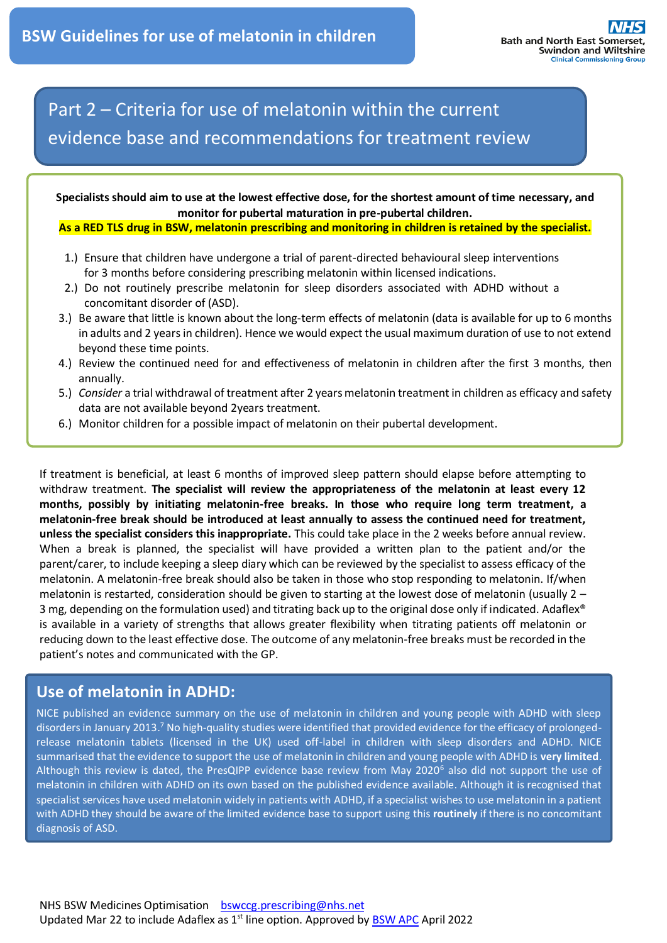# Part 2 – Criteria for use of melatonin within the current evidence base and recommendations for treatment review

**Specialists should aim to use at the lowest effective dose, for the shortest amount of time necessary, and monitor for pubertal maturation in pre-pubertal children.**

**As a RED TLS drug in BSW, melatonin prescribing and monitoring in children is retained by the specialist.**

- 1.) Ensure that children have undergone a trial of parent-directed behavioural sleep interventions for 3 months before considering prescribing melatonin within licensed indications.
- 2.) Do not routinely prescribe melatonin for sleep disorders associated with ADHD without a concomitant disorder of (ASD).
- 3.) Be aware that little is known about the long-term effects of melatonin (data is available for up to 6 months in adults and 2 years in children). Hence we would expect the usual maximum duration of use to not extend beyond these time points.
- 4.) Review the continued need for and effectiveness of melatonin in children after the first 3 months, then annually.
- 5.) *Consider* a trial withdrawal of treatment after 2 years melatonin treatment in children as efficacy and safety data are not available beyond 2years treatment.
- 6.) Monitor children for a possible impact of melatonin on their pubertal development.

If treatment is beneficial, at least 6 months of improved sleep pattern should elapse before attempting to withdraw treatment. **The specialist will review the appropriateness of the melatonin at least every 12 months, possibly by initiating melatonin-free breaks. In those who require long term treatment, a melatonin-free break should be introduced at least annually to assess the continued need for treatment, unless the specialist considers this inappropriate.** This could take place in the 2 weeks before annual review. When a break is planned, the specialist will have provided a written plan to the patient and/or the parent/carer, to include keeping a sleep diary which can be reviewed by the specialist to assess efficacy of the melatonin. A melatonin-free break should also be taken in those who stop responding to melatonin. If/when melatonin is restarted, consideration should be given to starting at the lowest dose of melatonin (usually 2 – 3 mg, depending on the formulation used) and titrating back up to the original dose only if indicated. Adaflex® is available in a variety of strengths that allows greater flexibility when titrating patients off melatonin or reducing down to the least effective dose. The outcome of any melatonin-free breaks must be recorded in the patient's notes and communicated with the GP.

### **Use of melatonin in ADHD:**

NICE published an evidence summary on the use of melatonin in children and young people with ADHD with sleep disorders in January 2013.<sup>7</sup> No high-quality studies were identified that provided evidence for the efficacy of prolongedrelease melatonin tablets (licensed in the UK) used off-label in children with sleep disorders and ADHD. NICE summarised that the evidence to support the use of melatonin in children and young people with ADHD is **very limited**. Although this review is dated, the PresQIPP evidence base review from May 2020<sup>6</sup> also did not support the use of melatonin in children with ADHD on its own based on the published evidence available. Although it is recognised that specialist services have used melatonin widely in patients with ADHD, if a specialist wishes to use melatonin in a patient with ADHD they should be aware of the limited evidence base to support using this **routinely** if there is no concomitant diagnosis of ASD.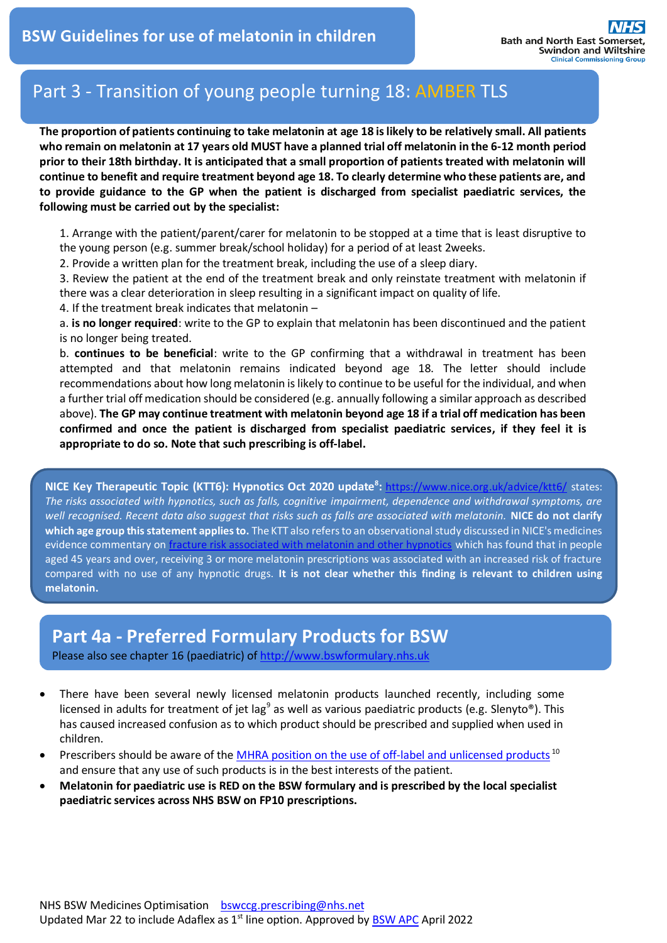## Part 3 - Transition of young people turning 18: AMBER TLS

**The proportion of patients continuing to take melatonin at age 18 is likely to be relatively small. All patients who remain on melatonin at 17 years old MUST have a planned trial off melatonin in the 6-12 month period prior to their 18th birthday. It is anticipated that a small proportion of patients treated with melatonin will continue to benefit and require treatment beyond age 18. To clearly determine who these patients are, and to provide guidance to the GP when the patient is discharged from specialist paediatric services, the following must be carried out by the specialist:** 

1. Arrange with the patient/parent/carer for melatonin to be stopped at a time that is least disruptive to the young person (e.g. summer break/school holiday) for a period of at least 2weeks.

2. Provide a written plan for the treatment break, including the use of a sleep diary.

3. Review the patient at the end of the treatment break and only reinstate treatment with melatonin if there was a clear deterioration in sleep resulting in a significant impact on quality of life.

4. If the treatment break indicates that melatonin –

a. **is no longer required**: write to the GP to explain that melatonin has been discontinued and the patient is no longer being treated.

b. **continues to be beneficial**: write to the GP confirming that a withdrawal in treatment has been attempted and that melatonin remains indicated beyond age 18. The letter should include recommendations about how long melatonin is likely to continue to be useful for the individual, and when a further trial off medication should be considered (e.g. annually following a similar approach as described above). **The GP may continue treatment with melatonin beyond age 18 if a trial off medication has been confirmed and once the patient is discharged from specialist paediatric services, if they feel it is appropriate to do so. Note that such prescribing is off-label.**

**NICE Key Therapeutic Topic (KTT6): Hypnotics Oct 2020 update<sup>8</sup> :** <https://www.nice.org.uk/advice/ktt6/> states: *The risks associated with hypnotics, such as falls, cognitive impairment, dependence and withdrawal symptoms, are well recognised. Recent data also suggest that risks such as falls are associated with melatonin.* **NICE do not clarify which age group this statement applies to.** The KTT also refers to an observational study discussed in NICE's medicines evidence commentary on [fracture risk associated with melatonin and other hypnotics](http://arms.evidence.nhs.uk/resources/hub/1057851/attachment) which has found that in people aged 45 years and over, receiving 3 or more melatonin prescriptions was associated with an increased risk of fracture compared with no use of any hypnotic drugs. **It is not clear whether this finding is relevant to children using melatonin.**

## **Part 4a - Preferred Formulary Products for BSW**

Please also see chapter 16 (paediatric) of http://www.bswformulary.nhs.uk

- There have been several newly licensed melatonin products launched recently, including some licensed in adults for treatment of jet lag<sup>9</sup> as well as various paediatric products (e.g. Slenyto®). This has caused increased confusion as to which product should be prescribed and supplied when used in children.
- Prescribers should be aware of the [MHRA position on the use of off-label and unlicensed products](https://tinyurl.com/26ex6259)<sup>10</sup> and ensure that any use of such products is in the best interests of the patient.
- **Melatonin for paediatric use is RED on the BSW formulary and is prescribed by the local specialist paediatric services across NHS BSW on FP10 prescriptions.**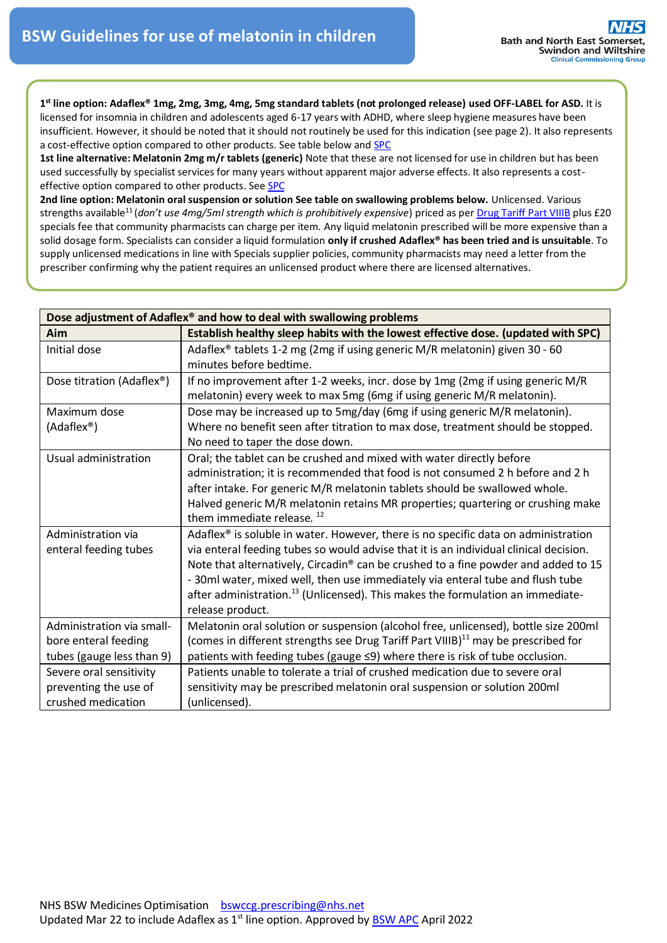**1 st line option: Adaflex® 1mg, 2mg, 3mg, 4mg, 5mg standard tablets (not prolonged release) used OFF-LABEL for ASD.** It is licensed for insomnia in children and adolescents aged 6-17 years with ADHD, where sleep hygiene measures have been insufficient. However, it should be noted that it should not routinely be used for this indication (see page 2). It also represents a cost-effective option compared to other products. See table below an[d SPC](https://products.mhra.gov.uk/substance/?substance=MELATONIN)

**1st line alternative: Melatonin 2mg m/r tablets (generic)** Note that these are not licensed for use in children but has been used successfully by specialist services for many years without apparent major adverse effects. It also represents a costeffective option compared to other products. Se[e SPC](https://www.medicines.org.uk/emc/product/2809)

**2nd line option: Melatonin oral suspension or solution See table on swallowing problems below.** Unlicensed. Various strengths available<sup>11</sup> (*don't use 4mg/5ml strength which is prohibitively expensive*) priced as per <u>Drug Tariff Part VIIIB</u> plus £20 specials fee that community pharmacists can charge per item. Any liquid melatonin prescribed will be more expensive than a solid dosage form. Specialists can consider a liquid formulation **only if crushed Adaflex® has been tried and is unsuitable**. To supply unlicensed medications in line with Specials supplier policies, community pharmacists may need a letter from the prescriber confirming why the patient requires an unlicensed product where there are licensed alternatives.

| Dose adjustment of Adaflex® and how to deal with swallowing problems           |                                                                                                                                                                                                                                                                                                                                                                                                                                                                                   |
|--------------------------------------------------------------------------------|-----------------------------------------------------------------------------------------------------------------------------------------------------------------------------------------------------------------------------------------------------------------------------------------------------------------------------------------------------------------------------------------------------------------------------------------------------------------------------------|
| Aim                                                                            | Establish healthy sleep habits with the lowest effective dose. (updated with SPC)                                                                                                                                                                                                                                                                                                                                                                                                 |
| Initial dose                                                                   | Adaflex® tablets 1-2 mg (2mg if using generic M/R melatonin) given 30 - 60<br>minutes before bedtime.                                                                                                                                                                                                                                                                                                                                                                             |
| Dose titration (Adaflex <sup>®</sup> )                                         | If no improvement after 1-2 weeks, incr. dose by 1mg (2mg if using generic M/R<br>melatonin) every week to max 5mg (6mg if using generic M/R melatonin).                                                                                                                                                                                                                                                                                                                          |
| Maximum dose                                                                   | Dose may be increased up to 5mg/day (6mg if using generic M/R melatonin).                                                                                                                                                                                                                                                                                                                                                                                                         |
| (Adaflex <sup>®</sup> )                                                        | Where no benefit seen after titration to max dose, treatment should be stopped.<br>No need to taper the dose down.                                                                                                                                                                                                                                                                                                                                                                |
| Usual administration                                                           | Oral; the tablet can be crushed and mixed with water directly before<br>administration; it is recommended that food is not consumed 2 h before and 2 h<br>after intake. For generic M/R melatonin tablets should be swallowed whole.<br>Halved generic M/R melatonin retains MR properties; quartering or crushing make<br>them immediate release. <sup>12</sup>                                                                                                                  |
| Administration via<br>enteral feeding tubes                                    | Adaflex <sup>®</sup> is soluble in water. However, there is no specific data on administration<br>via enteral feeding tubes so would advise that it is an individual clinical decision.<br>Note that alternatively, Circadin® can be crushed to a fine powder and added to 15<br>- 30ml water, mixed well, then use immediately via enteral tube and flush tube<br>after administration. <sup>13</sup> (Unlicensed). This makes the formulation an immediate-<br>release product. |
| Administration via small-<br>bore enteral feeding<br>tubes (gauge less than 9) | Melatonin oral solution or suspension (alcohol free, unlicensed), bottle size 200ml<br>(comes in different strengths see Drug Tariff Part VIIIB) <sup>11</sup> may be prescribed for<br>patients with feeding tubes (gauge ≤9) where there is risk of tube occlusion.                                                                                                                                                                                                             |
| Severe oral sensitivity<br>preventing the use of<br>crushed medication         | Patients unable to tolerate a trial of crushed medication due to severe oral<br>sensitivity may be prescribed melatonin oral suspension or solution 200ml<br>(unlicensed).                                                                                                                                                                                                                                                                                                        |